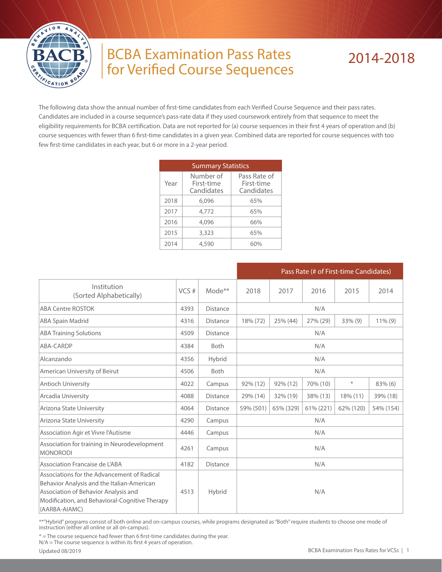

## BCBA Examination Pass Rates for Verified Course Sequences

## 2014-2018

The following data show the annual number of first-time candidates from each Verified Course Sequence and their pass rates. Candidates are included in a course sequence's pass-rate data if they used coursework entirely from that sequence to meet the eligibility requirements for BCBA certification. Data are not reported for (a) course sequences in their first 4 years of operation and (b) course sequences with fewer than 6 first-time candidates in a given year. Combined data are reported for course sequences with too few first-time candidates in each year, but 6 or more in a 2-year period.

|      | <b>Summary Statistics</b>             |                                          |
|------|---------------------------------------|------------------------------------------|
| Year | Number of<br>First-time<br>Candidates | Pass Rate of<br>First-time<br>Candidates |
| 2018 | 6.096                                 | 65%                                      |
| 2017 | 4,772                                 | 65%                                      |
| 2016 | 4,096                                 | 66%                                      |
| 2015 | 3,323                                 | 65%                                      |
| 2014 | 4,590                                 | 6በ%                                      |

|                                                                                                                                                                                                      |      |                    |           |           |           | Pass Rate (# of First-time Candidates) |            |  |
|------------------------------------------------------------------------------------------------------------------------------------------------------------------------------------------------------|------|--------------------|-----------|-----------|-----------|----------------------------------------|------------|--|
| Institution<br>(Sorted Alphabetically)                                                                                                                                                               | VCS# | Mode <sup>**</sup> | 2018      | 2017      | 2016      | 2015                                   | 2014       |  |
| <b>ABA Centre ROSTOK</b>                                                                                                                                                                             | 4393 | <b>Distance</b>    |           |           | N/A       |                                        |            |  |
| <b>ABA Spain Madrid</b>                                                                                                                                                                              | 4316 | <b>Distance</b>    | 18% (72)  | 25% (44)  | 27% (29)  | $33\%$ (9)                             | $11\%$ (9) |  |
| <b>ABA Training Solutions</b>                                                                                                                                                                        | 4509 | <b>Distance</b>    |           |           | N/A       |                                        |            |  |
| ABA-CARDP                                                                                                                                                                                            | 4384 | <b>Both</b>        | N/A       |           |           |                                        |            |  |
| Alcanzando                                                                                                                                                                                           | 4356 | Hybrid             | N/A       |           |           |                                        |            |  |
| American University of Beirut                                                                                                                                                                        | 4506 | <b>Both</b>        |           |           | N/A       |                                        |            |  |
| Antioch University                                                                                                                                                                                   | 4022 | Campus             | 92% (12)  | 92% (12)  | 70% (10)  | $\divideontimes$                       | 83% (6)    |  |
| Arcadia University                                                                                                                                                                                   | 4088 | <b>Distance</b>    | 29% (14)  | 32% (19)  | 38% (13)  | 18% (11)                               | 39% (18)   |  |
| Arizona State University                                                                                                                                                                             | 4064 | <b>Distance</b>    | 59% (501) | 65% (329) | 61% (221) | 62% (120)                              | 54% (154)  |  |
| Arizona State University                                                                                                                                                                             | 4290 | Campus             |           |           | N/A       |                                        |            |  |
| Association Agir et Vivre l'Autisme                                                                                                                                                                  | 4446 | Campus             |           |           | N/A       |                                        |            |  |
| Association for training in Neurodevelopment<br><b>MONORODI</b>                                                                                                                                      | 4261 | Campus             |           |           | N/A       |                                        |            |  |
| Association Francaise de L'ABA                                                                                                                                                                       | 4182 | <b>Distance</b>    |           |           | N/A       |                                        |            |  |
| Associations for the Advancement of Radical<br>Behavior Analysis and the Italian-American<br>Association of Behavior Analysis and<br>Modification, and Behavioral-Cognitive Therapy<br>(AARBA-AIAMC) | 4513 | Hybrid             |           |           | N/A       |                                        |            |  |

\*\*"Hybrid" programs consist of both online and on-campus courses, while programs designated as "Both" require students to choose one mode of instruction (either all online or all on-campus).

\* = The course sequence had fewer than 6 first-time candidates during the year.

N/A = The course sequence is within its first 4 years of operation.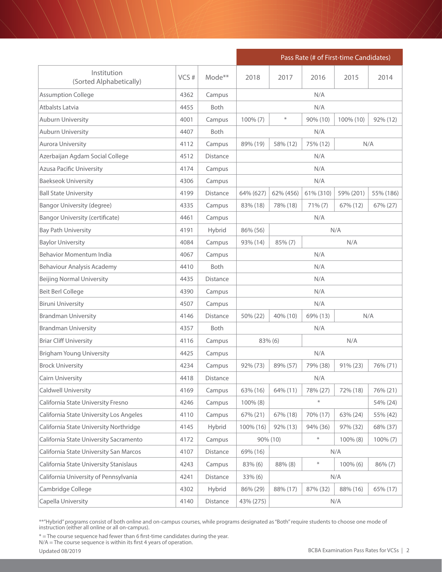|                                         |      |                    |            |                             |           | Pass Rate (# of First-time Candidates) |             |  |
|-----------------------------------------|------|--------------------|------------|-----------------------------|-----------|----------------------------------------|-------------|--|
| Institution<br>(Sorted Alphabetically)  | VCS# | Mode <sup>**</sup> | 2018       | 2017                        | 2016      | 2015                                   | 2014        |  |
| <b>Assumption College</b>               | 4362 | Campus             |            |                             | N/A       |                                        |             |  |
| Atbalsts Latvia                         | 4455 | <b>Both</b>        |            |                             | N/A       |                                        |             |  |
| <b>Auburn University</b>                | 4001 | Campus             | 100% (7)   | $\ast$                      | 90% (10)  | 100% (10)                              | 92% (12)    |  |
| <b>Auburn University</b>                | 4407 | Both               |            |                             | N/A       |                                        |             |  |
| <b>Aurora University</b>                | 4112 | Campus             | 89% (19)   | N/A<br>58% (12)<br>75% (12) |           |                                        |             |  |
| Azerbaijan Agdam Social College         | 4512 | <b>Distance</b>    |            |                             | N/A       |                                        |             |  |
| <b>Azusa Pacific University</b>         | 4174 | Campus             |            |                             | N/A       |                                        |             |  |
| <b>Baekseok University</b>              | 4306 | Campus             |            |                             | N/A       |                                        |             |  |
| <b>Ball State University</b>            | 4199 | <b>Distance</b>    | 64% (627)  | 62% (456)                   | 61% (310) | 59% (201)                              | 55% (186)   |  |
| <b>Bangor University (degree)</b>       | 4335 | Campus             | 83% (18)   | 78% (18)                    | 71% (7)   | 67% (12)                               | 67% (27)    |  |
| <b>Bangor University (certificate)</b>  | 4461 | Campus             |            |                             | N/A       |                                        |             |  |
| <b>Bay Path University</b>              | 4191 | Hybrid             | 86% (56)   | N/A                         |           |                                        |             |  |
| <b>Baylor University</b>                | 4084 | Campus             | 93% (14)   | 85% (7)<br>N/A              |           |                                        |             |  |
| <b>Behavior Momentum India</b>          | 4067 | Campus             |            | N/A                         |           |                                        |             |  |
| Behaviour Analysis Academy              | 4410 | <b>Both</b>        |            | N/A                         |           |                                        |             |  |
| <b>Beijing Normal University</b>        | 4435 | Distance           |            | N/A                         |           |                                        |             |  |
| Beit Berl College                       | 4390 | Campus             |            |                             | N/A       |                                        |             |  |
| <b>Biruni University</b>                | 4507 | Campus             |            |                             | N/A       |                                        |             |  |
| <b>Brandman University</b>              | 4146 | Distance           | 50% (22)   | 40% (10)                    | 69% (13)  |                                        | N/A         |  |
| <b>Brandman University</b>              | 4357 | <b>Both</b>        |            |                             | N/A       |                                        |             |  |
| <b>Briar Cliff University</b>           | 4116 | Campus             | 83% (6)    |                             |           | N/A                                    |             |  |
| <b>Brigham Young University</b>         | 4425 | Campus             |            |                             | N/A       |                                        |             |  |
| <b>Brock University</b>                 | 4234 | Campus             | 92% (73)   | 89% (57)                    | 79% (38)  | 91% (23)                               | 76% (71)    |  |
| Cairn University                        | 4418 | Distance           |            |                             | N/A       |                                        |             |  |
| <b>Caldwell University</b>              | 4169 | Campus             | 63% (16)   | 64% (11)                    | 78% (27)  | 72% (18)                               | 76% (21)    |  |
| California State University Fresno      | 4246 | Campus             | 100% (8)   |                             | $\ast$    |                                        | 54% (24)    |  |
| California State University Los Angeles | 4110 | Campus             | 67% (21)   | 67% (18)                    | 70% (17)  | 63% (24)                               | 55% (42)    |  |
| California State University Northridge  | 4145 | Hybrid             | 100% (16)  | 92% (13)                    | 94% (36)  | 97% (32)                               | 68% (37)    |  |
| California State University Sacramento  | 4172 | Campus             |            | 90% (10)                    | $\ast$    | 100% (8)                               | $100\% (7)$ |  |
| California State University San Marcos  | 4107 | Distance           | 69% (16)   |                             |           | N/A                                    |             |  |
| California State University Stanislaus  | 4243 | Campus             | 83% (6)    | 88% (8)                     | $\ast$    | $100\%$ (6)                            | 86% (7)     |  |
| California University of Pennsylvania   | 4241 | Distance           | $33\%$ (6) |                             |           | N/A                                    |             |  |
| Cambridge College                       | 4302 | Hybrid             | 86% (29)   | 88% (17)                    | 87% (32)  | 88% (16)                               | 65% (17)    |  |
| Capella University                      | 4140 | Distance           | 43% (275)  |                             |           | N/A                                    |             |  |

\* = The course sequence had fewer than 6 first-time candidates during the year.

N/A = The course sequence is within its first 4 years of operation.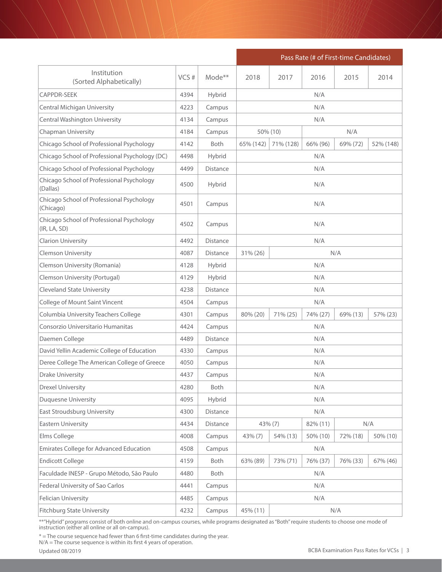|                                                           |      |                    | Pass Rate (# of First-time Candidates) |           |          |          |           |  |
|-----------------------------------------------------------|------|--------------------|----------------------------------------|-----------|----------|----------|-----------|--|
| Institution<br>(Sorted Alphabetically)                    | VCS# | Mode <sup>**</sup> | 2018                                   | 2017      | 2016     | 2015     | 2014      |  |
| <b>CAPPDR-SEEK</b>                                        | 4394 | Hybrid             |                                        |           | N/A      |          |           |  |
| <b>Central Michigan University</b>                        | 4223 | Campus             |                                        |           | N/A      |          |           |  |
| <b>Central Washington University</b>                      | 4134 | Campus             |                                        |           | N/A      |          |           |  |
| <b>Chapman University</b>                                 | 4184 | Campus             |                                        | 50% (10)  |          | N/A      |           |  |
| Chicago School of Professional Psychology                 | 4142 | <b>Both</b>        | 65% (142)                              | 71% (128) | 66% (96) | 69% (72) | 52% (148) |  |
| Chicago School of Professional Psychology (DC)            | 4498 | Hybrid             |                                        |           | N/A      |          |           |  |
| Chicago School of Professional Psychology                 | 4499 | Distance           |                                        |           | N/A      |          |           |  |
| Chicago School of Professional Psychology<br>(Dallas)     | 4500 | Hybrid             | N/A                                    |           |          |          |           |  |
| Chicago School of Professional Psychology<br>(Chicago)    | 4501 | Campus             | N/A                                    |           |          |          |           |  |
| Chicago School of Professional Psychology<br>(IR, LA, SD) | 4502 | Campus             | N/A                                    |           |          |          |           |  |
| <b>Clarion University</b>                                 | 4492 | <b>Distance</b>    |                                        |           | N/A      |          |           |  |
| <b>Clemson University</b>                                 | 4087 | Distance           | 31% (26)<br>N/A                        |           |          |          |           |  |
| Clemson University (Romania)                              | 4128 | Hybrid             | N/A                                    |           |          |          |           |  |
| Clemson University (Portugal)                             | 4129 | Hybrid             | N/A                                    |           |          |          |           |  |
| <b>Cleveland State University</b>                         | 4238 | Distance           | N/A                                    |           |          |          |           |  |
| College of Mount Saint Vincent                            | 4504 | Campus             |                                        |           | N/A      |          |           |  |
| Columbia University Teachers College                      | 4301 | Campus             | 80% (20)                               | 71% (25)  | 74% (27) | 69% (13) | 57% (23)  |  |
| Consorzio Universitario Humanitas                         | 4424 | Campus             |                                        |           | N/A      |          |           |  |
| Daemen College                                            | 4489 | Distance           |                                        |           | N/A      |          |           |  |
| David Yellin Academic College of Education                | 4330 | Campus             |                                        |           | N/A      |          |           |  |
| Deree College The American College of Greece              | 4050 | Campus             |                                        |           | N/A      |          |           |  |
| Drake University                                          | 4437 | Campus             |                                        |           | N/A      |          |           |  |
| <b>Drexel University</b>                                  | 4280 | Both               |                                        |           | N/A      |          |           |  |
| <b>Duquesne University</b>                                | 4095 | Hybrid             |                                        |           | N/A      |          |           |  |
| East Stroudsburg University                               | 4300 | Distance           |                                        |           | N/A      |          |           |  |
| <b>Eastern University</b>                                 | 4434 | Distance           | 43% (7)                                |           | 82% (11) |          | N/A       |  |
| Elms College                                              | 4008 | Campus             | 43% (7)                                | 54% (13)  | 50% (10) | 72% (18) | 50% (10)  |  |
| <b>Emirates College for Advanced Education</b>            | 4508 | Campus             |                                        |           | N/A      |          |           |  |
| <b>Endicott College</b>                                   | 4159 | Both               | 63% (89)                               | 73% (71)  | 76% (37) | 76% (33) | 67% (46)  |  |
| Faculdade INESP - Grupo Método, São Paulo                 | 4480 | Both               |                                        |           | N/A      |          |           |  |
| Federal University of Sao Carlos                          | 4441 | Campus             |                                        |           | N/A      |          |           |  |
| <b>Felician University</b>                                | 4485 | Campus             |                                        |           | N/A      |          |           |  |
| <b>Fitchburg State University</b>                         | 4232 | Campus             | 45% (11)                               |           |          | N/A      |           |  |

\* = The course sequence had fewer than 6 first-time candidates during the year.

N/A = The course sequence is within its first 4 years of operation.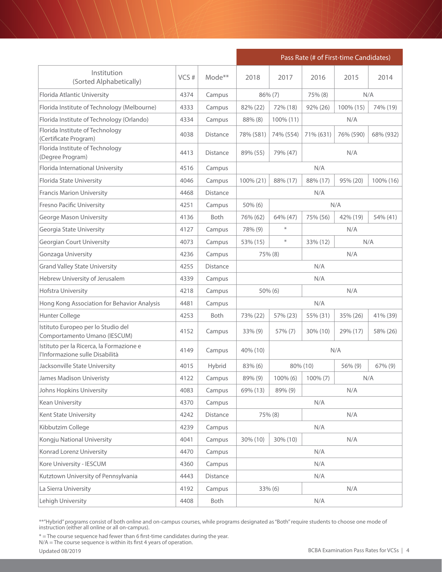|                                                                             |      |                 | Pass Rate (# of First-time Candidates) |                |                 |           |           |  |  |
|-----------------------------------------------------------------------------|------|-----------------|----------------------------------------|----------------|-----------------|-----------|-----------|--|--|
| Institution<br>(Sorted Alphabetically)                                      | VCS# | Mode**          | 2018                                   | 2017           | 2016            | 2015      | 2014      |  |  |
| Florida Atlantic University                                                 | 4374 | Campus          | 86% (7)                                |                | 75% (8)         | N/A       |           |  |  |
| Florida Institute of Technology (Melbourne)                                 | 4333 | Campus          | 82% (22)                               | 72% (18)       | 92% (26)        | 100% (15) | 74% (19)  |  |  |
| Florida Institute of Technology (Orlando)                                   | 4334 | Campus          | 88% (8)                                | 100% (11)      |                 | N/A       |           |  |  |
| Florida Institute of Technology<br>(Certificate Program)                    | 4038 | <b>Distance</b> | 78% (581)                              | 74% (554)      | 71% (631)       | 76% (590) | 68% (932) |  |  |
| Florida Institute of Technology<br>(Degree Program)                         | 4413 | <b>Distance</b> | 89% (55)                               | 79% (47)       |                 | N/A       |           |  |  |
| Florida International University                                            | 4516 | Campus          |                                        |                | N/A             |           |           |  |  |
| Florida State University                                                    | 4046 | Campus          | 100% (21)                              | 88% (17)       | 88% (17)        | 95% (20)  | 100% (16) |  |  |
| <b>Francis Marion University</b>                                            | 4468 | <b>Distance</b> |                                        |                | N/A             |           |           |  |  |
| <b>Fresno Pacific University</b>                                            | 4251 | Campus          | $50\%$ (6)                             |                | N/A             |           |           |  |  |
| <b>George Mason University</b>                                              | 4136 | Both            | 76% (62)                               | 64% (47)       | 75% (56)        | 42% (19)  | 54% (41)  |  |  |
| Georgia State University                                                    | 4127 | Campus          | 78% (9)                                | $\ast$         |                 | N/A       |           |  |  |
| <b>Georgian Court University</b>                                            | 4073 | Campus          | 53% (15)                               | $\ast$         | N/A<br>33% (12) |           |           |  |  |
| Gonzaga University                                                          | 4236 | Campus          |                                        | 75% (8)        | N/A             |           |           |  |  |
| <b>Grand Valley State University</b>                                        | 4255 | Distance        |                                        | N/A            |                 |           |           |  |  |
| Hebrew University of Jerusalem                                              | 4339 | Campus          |                                        | N/A            |                 |           |           |  |  |
| Hofstra University                                                          | 4218 | Campus          |                                        | N/A<br>50% (6) |                 |           |           |  |  |
| Hong Kong Association for Behavior Analysis                                 | 4481 | Campus          |                                        |                | N/A             |           |           |  |  |
| Hunter College                                                              | 4253 | Both            | 73% (22)                               | 57% (23)       | 55% (31)        | 35% (26)  | 41% (39)  |  |  |
| Istituto Europeo per lo Studio del<br>Comportamento Umano (IESCUM)          | 4152 | Campus          | $33\%$ (9)                             | 57% (7)        | 30% (10)        | 29% (17)  | 58% (26)  |  |  |
| Istituto per la Ricerca, la Formazione e<br>l'Informazione sulle Disabilità | 4149 | Campus          | 40% (10)                               |                |                 | N/A       |           |  |  |
| Jacksonville State University                                               | 4015 | Hybrid          | 83% (6)                                |                | 80% (10)        | 56% (9)   | 67% (9)   |  |  |
| James Madison Univeristy                                                    | 4122 | Campus          | $89\%$ (9)                             | $100\%$ (6)    | $100\% (7)$     |           | N/A       |  |  |
| Johns Hopkins University                                                    | 4083 | Campus          | 69% (13)                               | 89% (9)        |                 | N/A       |           |  |  |
| Kean University                                                             | 4370 | Campus          |                                        |                | N/A             |           |           |  |  |
| Kent State University                                                       | 4242 | Distance        |                                        | 75% (8)        |                 | N/A       |           |  |  |
| Kibbutzim College                                                           | 4239 | Campus          |                                        |                | N/A             |           |           |  |  |
| Kongju National University                                                  | 4041 | Campus          | 30% (10)                               | 30% (10)       |                 | N/A       |           |  |  |
| Konrad Lorenz University                                                    | 4470 | Campus          |                                        |                | N/A             |           |           |  |  |
| Kore University - IESCUM                                                    | 4360 | Campus          |                                        |                | N/A             |           |           |  |  |
| Kutztown University of Pennsylvania                                         | 4443 | Distance        |                                        |                | N/A             |           |           |  |  |
| La Sierra University                                                        | 4192 | Campus          |                                        | 33% (6)        |                 | N/A       |           |  |  |
| Lehigh University                                                           | 4408 | Both            |                                        |                | N/A             |           |           |  |  |

\* = The course sequence had fewer than 6 first-time candidates during the year.

N/A = The course sequence is within its first 4 years of operation.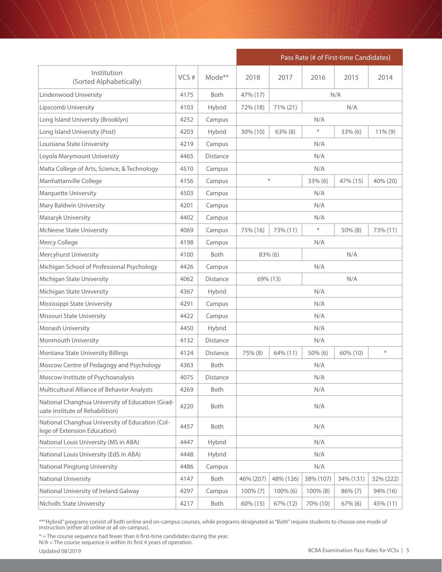|                                                                                     |      |                    | Pass Rate (# of First-time Candidates)    |           |             |            |            |  |
|-------------------------------------------------------------------------------------|------|--------------------|-------------------------------------------|-----------|-------------|------------|------------|--|
| Institution<br>(Sorted Alphabetically)                                              | VCS# | Mode <sup>**</sup> | 2018                                      | 2017      | 2016        | 2015       | 2014       |  |
| Lindenwood University                                                               | 4175 | <b>Both</b>        | 47% (17)                                  |           |             | N/A        |            |  |
| Lipscomb University                                                                 | 4103 | Hybrid             | 72% (18)                                  | 71% (21)  |             | N/A        |            |  |
| Long Island University (Brooklyn)                                                   | 4252 | Campus             |                                           |           | N/A         |            |            |  |
| Long Island University (Post)                                                       | 4203 | Hybrid             | 30% (10)                                  | 63% (8)   | $\ast$      | $33\%$ (6) | $11\%$ (9) |  |
| Louisiana State University                                                          | 4219 | Campus             | N/A                                       |           |             |            |            |  |
| Loyola Marymount University                                                         | 4465 | Distance           |                                           |           | N/A         |            |            |  |
| Malta College of Arts, Science, & Technology                                        | 4510 | Campus             |                                           |           | N/A         |            |            |  |
| Manhattanville College                                                              | 4156 | Campus             | $\ast$<br>33% (6)<br>47% (15)<br>40% (20) |           |             |            |            |  |
| <b>Marquette University</b>                                                         | 4503 | Campus             |                                           |           | N/A         |            |            |  |
| Mary Baldwin University                                                             | 4201 | Campus             |                                           |           | N/A         |            |            |  |
| Masaryk University                                                                  | 4402 | Campus             |                                           |           | N/A         |            |            |  |
| <b>McNeese State University</b>                                                     | 4069 | Campus             | 75% (16)                                  | 73% (11)  | $\ast$      | 50% (8)    | 73% (11)   |  |
| Mercy College                                                                       | 4198 | Campus             | N/A                                       |           |             |            |            |  |
| Mercyhurst University                                                               | 4100 | <b>Both</b>        | N/A<br>83% (6)                            |           |             |            |            |  |
| Michigan School of Professional Psychology                                          | 4426 | Campus             | N/A                                       |           |             |            |            |  |
| Michigan State University                                                           | 4062 | Distance           | N/A<br>69% (13)                           |           |             |            |            |  |
| Michigan State University                                                           | 4367 | Hybrid             | N/A                                       |           |             |            |            |  |
| Mississippi State University                                                        | 4291 | Campus             |                                           |           | N/A         |            |            |  |
| Missouri State University                                                           | 4422 | Campus             |                                           |           | N/A         |            |            |  |
| Monash University                                                                   | 4450 | Hybrid             |                                           |           | N/A         |            |            |  |
| Monmouth University                                                                 | 4132 | Distance           |                                           |           | N/A         |            |            |  |
| Montana State University Billings                                                   | 4124 | Distance           | 75% (8)                                   | 64% (11)  | 50% (6)     | 60% (10)   | $\ast$     |  |
| Moscow Centre of Pedagogy and Psychology                                            | 4363 | Both               |                                           |           | N/A         |            |            |  |
| Moscow Institute of Psychoanalysis                                                  | 4075 | Distance           |                                           |           | N/A         |            |            |  |
| Multicultural Alliance of Behavior Analysts                                         | 4269 | Both               |                                           |           | N/A         |            |            |  |
| National Changhua University of Education (Grad-<br>uate Institute of Rehabilition) | 4220 | Both               |                                           |           | N/A         |            |            |  |
| National Changhua University of Education (Col-<br>lege of Extension Education)     | 4457 | Both               |                                           |           | N/A         |            |            |  |
| National Louis University (MS in ABA)                                               | 4447 | Hybrid             |                                           |           | N/A         |            |            |  |
| National Louis University (EdS in ABA)                                              | 4448 | Hybrid             |                                           |           | N/A         |            |            |  |
| National Pingtung University                                                        | 4486 | Campus             |                                           |           | N/A         |            |            |  |
| National University                                                                 | 4147 | Both               | 46% (207)                                 | 48% (126) | 38% (107)   | 34% (131)  | 32% (222)  |  |
| National University of Ireland Galway                                               | 4297 | Campus             | $100\% (7)$                               | 100% (6)  | $100\%$ (8) | $86\% (7)$ | 94% (16)   |  |
| <b>Nicholls State University</b>                                                    | 4217 | Both               | 60% (15)                                  | 67% (12)  | 70% (10)    | 67% (6)    | 45% (11)   |  |

\* = The course sequence had fewer than 6 first-time candidates during the year.

N/A = The course sequence is within its first 4 years of operation.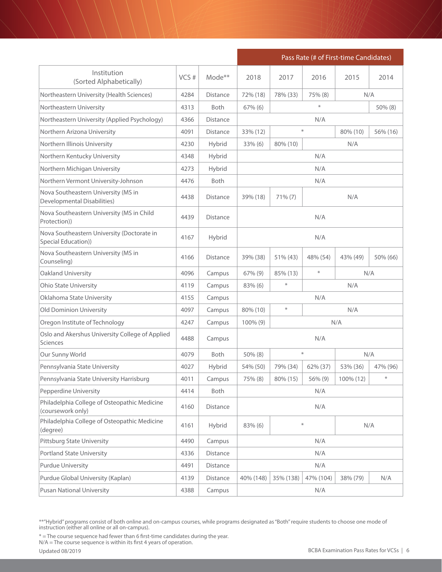|                                                                    |       |                 |             | Pass Rate (# of First-time Candidates) |           |           |          |  |
|--------------------------------------------------------------------|-------|-----------------|-------------|----------------------------------------|-----------|-----------|----------|--|
| Institution<br>(Sorted Alphabetically)                             | VCS # | Mode**          | 2018        | 2017                                   | 2016      | 2015      | 2014     |  |
| Northeastern University (Health Sciences)                          | 4284  | <b>Distance</b> | 72% (18)    | 78% (33)                               | 75% (8)   | N/A       |          |  |
| Northeastern University                                            | 4313  | <b>Both</b>     | $67\%$ (6)  |                                        | $\ast$    |           | 50% (8)  |  |
| Northeastern University (Applied Psychology)                       | 4366  | <b>Distance</b> |             |                                        | N/A       |           |          |  |
| Northern Arizona University                                        | 4091  | <b>Distance</b> | 33% (12)    |                                        | $\ast$    | 80% (10)  | 56% (16) |  |
| Northern Illinois University                                       | 4230  | Hybrid          | 33% (6)     | 80% (10)                               |           | N/A       |          |  |
| Northern Kentucky University                                       | 4348  | Hybrid          |             |                                        | N/A       |           |          |  |
| Northern Michigan University                                       | 4273  | Hybrid          |             |                                        | N/A       |           |          |  |
| Northern Vermont University-Johnson                                | 4476  | <b>Both</b>     |             |                                        | N/A       |           |          |  |
| Nova Southeastern University (MS in<br>Developmental Disabilities) | 4438  | <b>Distance</b> | 39% (18)    | $71\%$ $(7)$                           |           | N/A       |          |  |
| Nova Southeastern University (MS in Child<br>Protection))          | 4439  | <b>Distance</b> |             | N/A                                    |           |           |          |  |
| Nova Southeastern University (Doctorate in<br>Special Education))  | 4167  | Hybrid          |             | N/A                                    |           |           |          |  |
| Nova Southeastern University (MS in<br>Counseling)                 | 4166  | <b>Distance</b> | 39% (38)    | 51% (43)                               | 48% (54)  | 43% (49)  | 50% (66) |  |
| Oakland University                                                 | 4096  | Campus          | 67% (9)     | $\divideontimes$<br>N/A<br>85% (13)    |           |           |          |  |
| <b>Ohio State University</b>                                       | 4119  | Campus          | $83\%$ (6)  | $\ast$                                 |           | N/A       |          |  |
| Oklahoma State University                                          | 4155  | Campus          |             |                                        | N/A       |           |          |  |
| Old Dominion University                                            | 4097  | Campus          | 80% (10)    | $\ast$                                 |           | N/A       |          |  |
| Oregon Institute of Technology                                     | 4247  | Campus          | $100\%$ (9) |                                        |           | N/A       |          |  |
| Oslo and Akershus University College of Applied<br>Sciences        | 4488  | Campus          |             |                                        | N/A       |           |          |  |
| Our Sunny World                                                    | 4079  | <b>Both</b>     | 50% (8)     |                                        | $\ast$    | N/A       |          |  |
| Pennsylvania State University                                      | 4027  | Hybrid          | 54% (50)    | 79% (34)                               | 62% (37)  | 53% (36)  | 47% (96) |  |
| Pennsylvania State University Harrisburg                           | 4011  | Campus          | 75% (8)     | 80% (15)                               | 56% (9)   | 100% (12) | $\ast$   |  |
| Pepperdine University                                              | 4414  | Both            |             |                                        | N/A       |           |          |  |
| Philadelphia College of Osteopathic Medicine<br>(coursework only)  | 4160  | Distance        |             |                                        | N/A       |           |          |  |
| Philadelphia College of Osteopathic Medicine<br>(degree)           | 4161  | Hybrid          | 83% (6)     |                                        | ⋇         |           | N/A      |  |
| Pittsburg State University                                         | 4490  | Campus          |             |                                        | N/A       |           |          |  |
| Portland State University                                          | 4336  | Distance        |             |                                        | N/A       |           |          |  |
| Purdue University                                                  | 4491  | Distance        |             |                                        | N/A       |           |          |  |
| Purdue Global University (Kaplan)                                  | 4139  | Distance        | 40% (148)   | 35% (138)                              | 47% (104) | 38% (79)  | N/A      |  |
| Pusan National University                                          | 4388  | Campus          |             |                                        | N/A       |           |          |  |

\* = The course sequence had fewer than 6 first-time candidates during the year.

N/A = The course sequence is within its first 4 years of operation.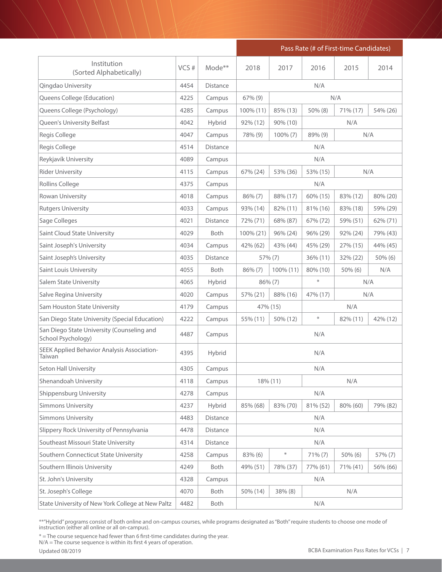|                                                                  |      |                 | Pass Rate (# of First-time Candidates)  |            |          |             |             |
|------------------------------------------------------------------|------|-----------------|-----------------------------------------|------------|----------|-------------|-------------|
| Institution<br>(Sorted Alphabetically)                           | VCS# | $Mode**$        | 2018                                    | 2017       | 2016     | 2015        | 2014        |
| Qingdao University                                               | 4454 | <b>Distance</b> |                                         |            | N/A      |             |             |
| Queens College (Education)                                       | 4225 | Campus          | $67\%$ (9)                              |            |          | N/A         |             |
| Queens College (Psychology)                                      | 4285 | Campus          | 100% (11)                               | 85% (13)   | 50% (8)  | 71% (17)    | 54% (26)    |
| Queen's University Belfast                                       | 4042 | Hybrid          | 92% (12)                                | 90% (10)   |          | N/A         |             |
| Regis College                                                    | 4047 | Campus          | 78% (9)                                 | 100% (7)   | 89% (9)  |             | N/A         |
| Regis College                                                    | 4514 | <b>Distance</b> |                                         |            | N/A      |             |             |
| Reykjavík University                                             | 4089 | Campus          |                                         |            | N/A      |             |             |
| <b>Rider University</b>                                          | 4115 | Campus          | N/A<br>67% (24)<br>53% (36)<br>53% (15) |            |          |             |             |
| <b>Rollins College</b>                                           | 4375 | Campus          | N/A                                     |            |          |             |             |
| Rowan University                                                 | 4018 | Campus          | $86\% (7)$                              | 88% (17)   | 60% (15) | 83% (12)    | 80% (20)    |
| <b>Rutgers University</b>                                        | 4033 | Campus          | 93% (14)                                | 82% (11)   | 81% (16) | 83% (18)    | 59% (29)    |
| Sage Colleges                                                    | 4021 | <b>Distance</b> | 72% (71)                                | 68% (87)   | 67% (72) | 59% (51)    | $62\% (71)$ |
| Saint Cloud State University                                     | 4029 | <b>Both</b>     | 100% (21)                               | 96% (24)   | 96% (29) | 92% (24)    | 79% (43)    |
| Saint Joseph's University                                        | 4034 | Campus          | 42% (62)                                | 43% (44)   | 45% (29) | 27% (15)    | 44% (45)    |
| Saint Joseph's University                                        | 4035 | <b>Distance</b> |                                         | 57% (7)    | 36% (11) | 32% (22)    | 50% (6)     |
| Saint Louis University                                           | 4055 | <b>Both</b>     | $86\%$ (7)                              | 100% (11)  | 80% (10) | $50\%$ (6)  | N/A         |
| Salem State University                                           | 4065 | Hybrid          | $\ast$<br>$86\%$ (7)<br>N/A             |            |          |             |             |
| Salve Regina University                                          | 4020 | Campus          | 57% (21)                                | 88% (16)   | 47% (17) |             | N/A         |
| Sam Houston State University                                     | 4179 | Campus          | 47% (15)                                |            |          | N/A         |             |
| San Diego State University (Special Education)                   | 4222 | Campus          | 55% (11)                                | 50% (12)   | $\ast$   | $82\%$ (11) | 42% (12)    |
| San Diego State University (Counseling and<br>School Psychology) | 4487 | Campus          |                                         |            | N/A      |             |             |
| SEEK Applied Behavior Analysis Association-<br>Taiwan            | 4395 | Hybrid          |                                         |            | N/A      |             |             |
| Seton Hall University                                            | 4305 | Campus          |                                         |            | N/A      |             |             |
| Shenandoah University                                            | 4118 | Campus          |                                         | 18% (11)   |          | N/A         |             |
| Shippensburg University                                          | 4278 | Campus          |                                         |            | N/A      |             |             |
| <b>Simmons University</b>                                        | 4237 | Hybrid          | 85% (68)                                | 83% (70)   | 81% (52) | 80% (60)    | 79% (82)    |
| <b>Simmons University</b>                                        | 4483 | Distance        |                                         |            | N/A      |             |             |
| Slippery Rock University of Pennsylvania                         | 4478 | Distance        |                                         |            | N/A      |             |             |
| Southeast Missouri State University                              | 4314 | Distance        |                                         |            | N/A      |             |             |
| Southern Connecticut State University                            | 4258 | Campus          | 83% (6)                                 | $\ast$     | 71% (7)  | $50\%$ (6)  | 57% (7)     |
| Southern Illinois University                                     | 4249 | Both            | 49% (51)                                | 78% (37)   | 77% (61) | 71% (41)    | 56% (66)    |
| St. John's University                                            | 4328 | Campus          |                                         |            | N/A      |             |             |
| St. Joseph's College                                             | 4070 | Both            | 50% (14)                                | $38\%$ (8) |          | N/A         |             |
| State University of New York College at New Paltz                | 4482 | Both            |                                         |            | N/A      |             |             |

\* = The course sequence had fewer than 6 first-time candidates during the year.

N/A = The course sequence is within its first 4 years of operation.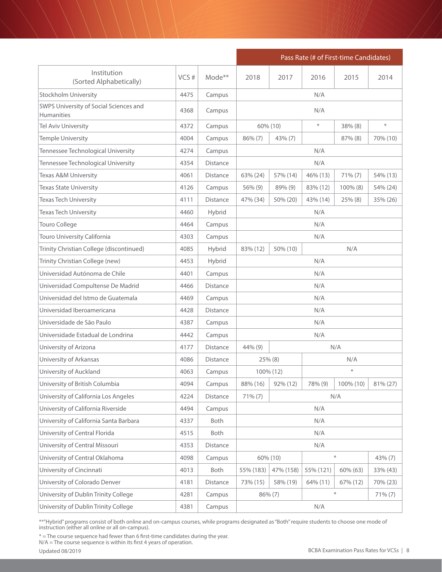|                                                             |      |                 | Pass Rate (# of First-time Candidates) |           |           |            |          |  |
|-------------------------------------------------------------|------|-----------------|----------------------------------------|-----------|-----------|------------|----------|--|
| Institution<br>(Sorted Alphabetically)                      | VCS# | Mode**          | 2018                                   | 2017      | 2016      | 2015       | 2014     |  |
| <b>Stockholm University</b>                                 | 4475 | Campus          |                                        |           | N/A       |            |          |  |
| SWPS University of Social Sciences and<br><b>Humanities</b> | 4368 | Campus          |                                        |           | N/A       |            |          |  |
| Tel Aviv University                                         | 4372 | Campus          |                                        | 60% (10)  | $\ast$    | 38% (8)    | $\ast$   |  |
| Temple University                                           | 4004 | Campus          | 86% (7)                                | 43% (7)   |           | 87% (8)    | 70% (10) |  |
| Tennessee Technological University                          | 4274 | Campus          |                                        |           | N/A       |            |          |  |
| Tennessee Technological University                          | 4354 | <b>Distance</b> |                                        |           | N/A       |            |          |  |
| Texas A&M University                                        | 4061 | Distance        | 63% (24)                               | 57% (14)  | 46% (13)  | $71\% (7)$ | 54% (13) |  |
| <b>Texas State University</b>                               | 4126 | Campus          | 56% (9)                                | 89% (9)   | 83% (12)  | 100% (8)   | 54% (24) |  |
| <b>Texas Tech University</b>                                | 4111 | <b>Distance</b> | 47% (34)                               | 50% (20)  | 43% (14)  | 25% (8)    | 35% (26) |  |
| <b>Texas Tech University</b>                                | 4460 | Hybrid          |                                        |           | N/A       |            |          |  |
| Touro College                                               | 4464 | Campus          |                                        |           | N/A       |            |          |  |
| Touro University California                                 | 4303 | Campus          |                                        |           | N/A       |            |          |  |
| Trinity Christian College (discontinued)                    | 4085 | Hybrid          | 83% (12)                               | 50% (10)  | N/A       |            |          |  |
| Trinity Christian College (new)                             | 4453 | Hybrid          | N/A                                    |           |           |            |          |  |
| Universidad Autónoma de Chile                               | 4401 | Campus          | N/A                                    |           |           |            |          |  |
| Universidad Compultense De Madrid                           | 4466 | Distance        | N/A                                    |           |           |            |          |  |
| Universidad del Istmo de Guatemala                          | 4469 | Campus          |                                        |           | N/A       |            |          |  |
| Universidad Iberoamericana                                  | 4428 | <b>Distance</b> |                                        |           | N/A       |            |          |  |
| Universidade de São Paulo                                   | 4387 | Campus          |                                        |           | N/A       |            |          |  |
| Universidade Estadual de Londrina                           | 4442 | Campus          |                                        |           | N/A       |            |          |  |
| University of Arizona                                       | 4177 | <b>Distance</b> | $44\%$ (9)                             |           |           | N/A        |          |  |
| University of Arkansas                                      | 4086 | Distance        |                                        | 25% (8)   |           | N/A        |          |  |
| University of Auckland                                      | 4063 | Campus          |                                        | 100% (12) |           | $\ast$     |          |  |
| University of British Columbia                              | 4094 | Campus          | 88% (16)                               | 92% (12)  | 78% (9)   | 100% (10)  | 81% (27) |  |
| University of California Los Angeles                        | 4224 | Distance        | $71\% (7)$                             |           |           | N/A        |          |  |
| University of California Riverside                          | 4494 | Campus          |                                        |           | N/A       |            |          |  |
| University of California Santa Barbara                      | 4337 | Both            |                                        |           | N/A       |            |          |  |
| University of Central Florida                               | 4515 | Both            |                                        |           | N/A       |            |          |  |
| University of Central Missouri                              | 4353 | Distance        |                                        |           | N/A       |            |          |  |
| University of Central Oklahoma                              | 4098 | Campus          |                                        | 60% (10)  |           | $\ast$     | 43% (7)  |  |
| University of Cincinnati                                    | 4013 | Both            | 55% (183)                              | 47% (158) | 55% (121) | 60% (63)   | 33% (43) |  |
| University of Colorado Denver                               | 4181 | Distance        | 73% (15)                               | 58% (19)  | 64% (11)  | 67% (12)   | 70% (23) |  |
| University of Dublin Trinity College                        | 4281 | Campus          |                                        | 86% (7)   |           | $\ast$     | 71% (7)  |  |
| University of Dublin Trinity College                        | 4381 | Campus          |                                        |           | N/A       |            |          |  |

\* = The course sequence had fewer than 6 first-time candidates during the year.

N/A = The course sequence is within its first 4 years of operation.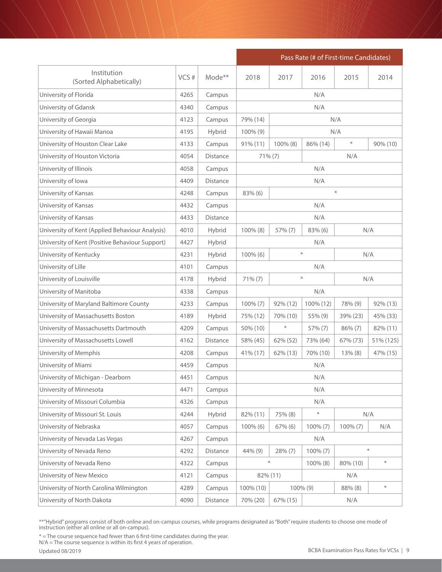|                                                 |      |          |                             |            | Pass Rate (# of First-time Candidates) |                    |                  |  |
|-------------------------------------------------|------|----------|-----------------------------|------------|----------------------------------------|--------------------|------------------|--|
| Institution<br>(Sorted Alphabetically)          | VCS# | Mode**   | 2018                        | 2017       | 2016                                   | 2015               | 2014             |  |
| University of Florida                           | 4265 | Campus   |                             |            | N/A                                    |                    |                  |  |
| University of Gdansk                            | 4340 | Campus   |                             |            | N/A                                    |                    |                  |  |
| University of Georgia                           | 4123 | Campus   | 79% (14)                    |            |                                        | N/A                |                  |  |
| University of Hawaii Manoa                      | 4195 | Hybrid   | $100\%$ (9)                 |            |                                        | N/A                |                  |  |
| University of Houston Clear Lake                | 4133 | Campus   | $91\% (11)$                 | 100% (8)   | 86% (14)                               | $\ast$<br>90% (10) |                  |  |
| University of Houston Victoria                  | 4054 | Distance | 71% (7)<br>N/A              |            |                                        |                    |                  |  |
| University of Illinois                          | 4058 | Campus   |                             |            | N/A                                    |                    |                  |  |
| University of Iowa                              | 4409 | Distance |                             |            | N/A                                    |                    |                  |  |
| University of Kansas                            | 4248 | Campus   | $83\%$ (6)                  |            |                                        | $\ast$             |                  |  |
| University of Kansas                            | 4432 | Campus   |                             |            | N/A                                    |                    |                  |  |
| University of Kansas                            | 4433 | Distance |                             |            | N/A                                    |                    |                  |  |
| University of Kent (Applied Behaviour Analysis) | 4010 | Hybrid   | 100% (8)                    | 57% (7)    | 83% (6)                                |                    | N/A              |  |
| University of Kent (Positive Behaviour Support) | 4427 | Hybrid   |                             | N/A        |                                        |                    |                  |  |
| University of Kentucky                          | 4231 | Hybrid   | $\ast$<br>100% (6)<br>N/A   |            |                                        |                    |                  |  |
| University of Lille                             | 4101 | Campus   | N/A                         |            |                                        |                    |                  |  |
| University of Louisville                        | 4178 | Hybrid   | $\ast$<br>N/A<br>$71\% (7)$ |            |                                        |                    |                  |  |
| University of Manitoba                          | 4338 | Campus   |                             |            | N/A                                    |                    |                  |  |
| University of Maryland Baltimore County         | 4233 | Campus   | $100\% (7)$                 | 92% (12)   | 100% (12)                              | 78% (9)            | 92% (13)         |  |
| University of Massachusetts Boston              | 4189 | Hybrid   | 75% (12)                    | 70% (10)   | 55% (9)                                | 39% (23)           | 45% (33)         |  |
| University of Massachusetts Dartmouth           | 4209 | Campus   | 50% (10)                    | $\ast$     | 57% (7)                                | $86\% (7)$         | 82% (11)         |  |
| University of Massachusetts Lowell              | 4162 | Distance | 58% (45)                    | 62% (52)   | 73% (64)                               | 67% (73)           | 51% (125)        |  |
| University of Memphis                           | 4208 | Campus   | 41% (17)                    | 62% (13)   | 70% (10)                               | $13\%$ (8)         | 47% (15)         |  |
| University of Miami                             | 4459 | Campus   |                             |            | N/A                                    |                    |                  |  |
| University of Michigan - Dearborn               | 4451 | Campus   |                             |            | N/A                                    |                    |                  |  |
| University of Minnesota                         | 4471 | Campus   |                             |            | N/A                                    |                    |                  |  |
| University of Missouri Columbia                 | 4326 | Campus   |                             |            | N/A                                    |                    |                  |  |
| University of Missouri St. Louis                | 4244 | Hybrid   | 82% (11)                    | 75% (8)    | $\ast$                                 |                    | N/A              |  |
| University of Nebraska                          | 4057 | Campus   | $100\%$ (6)                 | $67\%$ (6) | $100\% (7)$                            | $100\% (7)$        | N/A              |  |
| University of Nevada Las Vegas                  | 4267 | Campus   |                             |            | N/A                                    |                    |                  |  |
| University of Nevada Reno                       | 4292 | Distance | 44% (9)                     | 28% (7)    | $100\% (7)$                            |                    | $\ast$           |  |
| University of Nevada Reno                       | 4322 | Campus   |                             | $\ast$     | $100\%$ (8)                            | 80% (10)           | $\divideontimes$ |  |
| University of New Mexico                        | 4121 | Campus   |                             | 82% (11)   |                                        | N/A                |                  |  |
| University of North Carolina Wilmington         | 4289 | Campus   | 100% (10)                   |            | 100% (9)                               | 88% (8)            | $\ast$           |  |
| University of North Dakota                      | 4090 | Distance | 70% (20)                    | 67% (15)   |                                        | N/A                |                  |  |

\* = The course sequence had fewer than 6 first-time candidates during the year.

N/A = The course sequence is within its first 4 years of operation.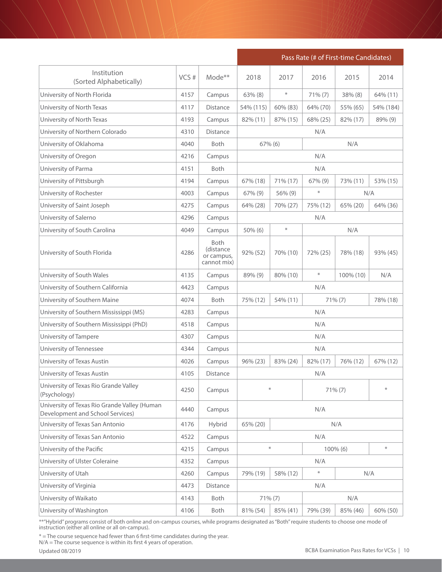|                                                                                  |      |                                                 | Pass Rate (# of First-time Candidates) |                                                    |            |             |           |  |
|----------------------------------------------------------------------------------|------|-------------------------------------------------|----------------------------------------|----------------------------------------------------|------------|-------------|-----------|--|
| Institution<br>(Sorted Alphabetically)                                           | VCS# | Mode**                                          | 2018                                   | 2017                                               | 2016       | 2015        | 2014      |  |
| University of North Florida                                                      | 4157 | Campus                                          | $63\%$ (8)                             | $\ast$                                             | $71\% (7)$ | $38\%$ (8)  | 64% (11)  |  |
| University of North Texas                                                        | 4117 | <b>Distance</b>                                 | 54% (115)                              | 60% (83)                                           | 64% (70)   | 55% (65)    | 54% (184) |  |
| University of North Texas                                                        | 4193 | Campus                                          | 82% (11)                               | 87% (15)                                           | 68% (25)   | 82% (17)    | 89% (9)   |  |
| University of Northern Colorado                                                  | 4310 | <b>Distance</b>                                 |                                        |                                                    | N/A        |             |           |  |
| University of Oklahoma                                                           | 4040 | <b>Both</b>                                     | $67\%$ (6)                             |                                                    |            | N/A         |           |  |
| University of Oregon                                                             | 4216 | Campus                                          |                                        |                                                    | N/A        |             |           |  |
| University of Parma                                                              | 4151 | Both                                            |                                        |                                                    | N/A        |             |           |  |
| University of Pittsburgh                                                         | 4194 | Campus                                          | 67% (18)                               | 71% (17)                                           | 67% (9)    | 73% (11)    | 53% (15)  |  |
| University of Rochester                                                          | 4003 | Campus                                          | $67\%$ (9)                             | 56% (9)                                            | $\ast$     | N/A         |           |  |
| University of Saint Joseph                                                       | 4275 | Campus                                          | 64% (28)                               | 70% (27)                                           | 75% (12)   | 65% (20)    | 64% (36)  |  |
| University of Salerno                                                            | 4296 | Campus                                          |                                        | N/A                                                |            |             |           |  |
| University of South Carolina                                                     | 4049 | Campus                                          | $50\%$ (6)                             | ⋇                                                  | N/A        |             |           |  |
| University of South Florida                                                      | 4286 | Both<br>(distance)<br>or campus,<br>cannot mix) | 92% (52)                               | 70% (10)                                           | 72% (25)   | 78% (18)    | 93% (45)  |  |
| University of South Wales                                                        | 4135 | Campus                                          | 89% (9)                                | 80% (10)                                           | $\ast$     | 100% (10)   | N/A       |  |
| University of Southern California                                                | 4423 | Campus                                          |                                        | N/A                                                |            |             |           |  |
| University of Southern Maine                                                     | 4074 | <b>Both</b>                                     | 75% (12)                               | 54% (11)                                           |            | $71\% (7)$  | 78% (18)  |  |
| University of Southern Mississippi (MS)                                          | 4283 | Campus                                          |                                        |                                                    | N/A        |             |           |  |
| University of Southern Mississippi (PhD)                                         | 4518 | Campus                                          |                                        |                                                    | N/A        |             |           |  |
| University of Tampere                                                            | 4307 | Campus                                          |                                        |                                                    | N/A        |             |           |  |
| University of Tennessee                                                          | 4344 | Campus                                          |                                        |                                                    | N/A        |             |           |  |
| University of Texas Austin                                                       | 4026 | Campus                                          | 96% (23)                               | 83% (24)                                           | 82% (17)   | 76% (12)    | 67% (12)  |  |
| University of Texas Austin                                                       | 4105 | Distance                                        |                                        |                                                    | N/A        |             |           |  |
| University of Texas Rio Grande Valley<br>(Psychology)                            | 4250 | Campus                                          | $\ast$                                 |                                                    |            | 71% (7)     | ⋇         |  |
| University of Texas Rio Grande Valley (Human<br>Development and School Services) | 4440 | Campus                                          |                                        |                                                    | N/A        |             |           |  |
| University of Texas San Antonio                                                  | 4176 | Hybrid                                          | 65% (20)                               |                                                    |            | N/A         |           |  |
| University of Texas San Antonio                                                  | 4522 | Campus                                          |                                        |                                                    | N/A        |             |           |  |
| University of the Pacific                                                        | 4215 | Campus                                          |                                        | $\frac{\partial \mathcal{L}}{\partial \mathbf{r}}$ |            | $100\%$ (6) | $\ast$    |  |
| University of Ulster Coleraine                                                   | 4352 | Campus                                          |                                        |                                                    | N/A        |             |           |  |
| University of Utah                                                               | 4260 | Campus                                          | 79% (19)                               | 58% (12)                                           | $\ast$     | N/A         |           |  |
| University of Virginia                                                           | 4473 | Distance                                        |                                        |                                                    | N/A        |             |           |  |
| University of Waikato                                                            | 4143 | Both                                            | 71% (7)                                |                                                    |            | N/A         |           |  |
| University of Washington                                                         | 4106 | Both                                            | 81% (54)                               | 85% (41)                                           | 79% (39)   | 85% (46)    | 60% (50)  |  |

\* = The course sequence had fewer than 6 first-time candidates during the year.

N/A = The course sequence is within its first 4 years of operation.